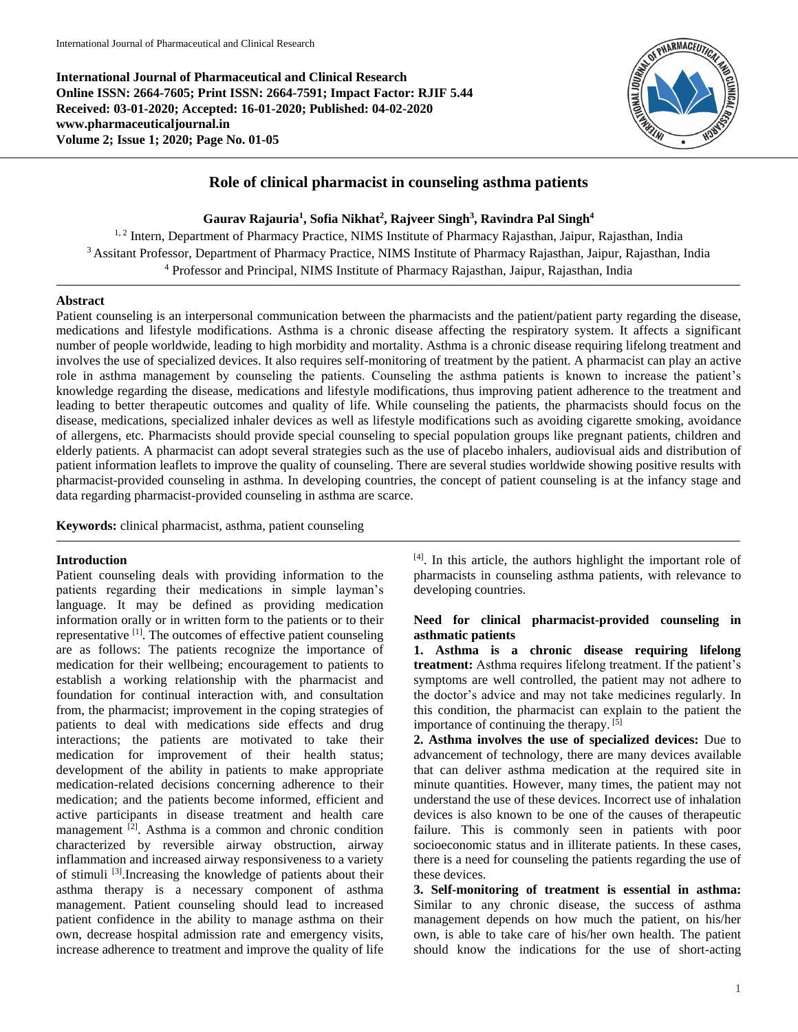**International Journal of Pharmaceutical and Clinical Research Online ISSN: 2664-7605; Print ISSN: 2664-7591; Impact Factor: RJIF 5.44 Received: 03-01-2020; Accepted: 16-01-2020; Published: 04-02-2020 www.pharmaceuticaljournal.in Volume 2; Issue 1; 2020; Page No. 01-05**



# **Role of clinical pharmacist in counseling asthma patients**

### **Gaurav Rajauria<sup>1</sup> , Sofia Nikhat<sup>2</sup> , Rajveer Singh<sup>3</sup> , Ravindra Pal Singh<sup>4</sup>**

<sup>1, 2</sup> Intern, Department of Pharmacy Practice, NIMS Institute of Pharmacy Rajasthan, Jaipur, Rajasthan, India <sup>3</sup> Assitant Professor, Department of Pharmacy Practice, NIMS Institute of Pharmacy Rajasthan, Jaipur, Rajasthan, India <sup>4</sup> Professor and Principal, NIMS Institute of Pharmacy Rajasthan, Jaipur, Rajasthan, India

#### **Abstract**

Patient counseling is an interpersonal communication between the pharmacists and the patient/patient party regarding the disease, medications and lifestyle modifications. Asthma is a chronic disease affecting the respiratory system. It affects a significant number of people worldwide, leading to high morbidity and mortality. Asthma is a chronic disease requiring lifelong treatment and involves the use of specialized devices. It also requires self-monitoring of treatment by the patient. A pharmacist can play an active role in asthma management by counseling the patients. Counseling the asthma patients is known to increase the patient's knowledge regarding the disease, medications and lifestyle modifications, thus improving patient adherence to the treatment and leading to better therapeutic outcomes and quality of life. While counseling the patients, the pharmacists should focus on the disease, medications, specialized inhaler devices as well as lifestyle modifications such as avoiding cigarette smoking, avoidance of allergens, etc. Pharmacists should provide special counseling to special population groups like pregnant patients, children and elderly patients. A pharmacist can adopt several strategies such as the use of placebo inhalers, audiovisual aids and distribution of patient information leaflets to improve the quality of counseling. There are several studies worldwide showing positive results with pharmacist-provided counseling in asthma. In developing countries, the concept of patient counseling is at the infancy stage and data regarding pharmacist-provided counseling in asthma are scarce.

**Keywords:** clinical pharmacist, asthma, patient counseling

#### **Introduction**

Patient counseling deals with providing information to the patients regarding their medications in simple layman's language. It may be defined as providing medication information orally or in written form to the patients or to their representative <sup>[1]</sup>. The outcomes of effective patient counseling are as follows: The patients recognize the importance of medication for their wellbeing; encouragement to patients to establish a working relationship with the pharmacist and foundation for continual interaction with, and consultation from, the pharmacist; improvement in the coping strategies of patients to deal with medications side effects and drug interactions; the patients are motivated to take their medication for improvement of their health status; development of the ability in patients to make appropriate medication-related decisions concerning adherence to their medication; and the patients become informed, efficient and active participants in disease treatment and health care management <sup>[2]</sup>. Asthma is a common and chronic condition characterized by reversible airway obstruction, airway inflammation and increased airway responsiveness to a variety of stimuli [3].Increasing the knowledge of patients about their asthma therapy is a necessary component of asthma management. Patient counseling should lead to increased patient confidence in the ability to manage asthma on their own, decrease hospital admission rate and emergency visits, increase adherence to treatment and improve the quality of life

[4] . In this article, the authors highlight the important role of pharmacists in counseling asthma patients, with relevance to developing countries.

### **Need for clinical pharmacist-provided counseling in asthmatic patients**

**1. Asthma is a chronic disease requiring lifelong treatment:** Asthma requires lifelong treatment. If the patient's symptoms are well controlled, the patient may not adhere to the doctor's advice and may not take medicines regularly. In this condition, the pharmacist can explain to the patient the importance of continuing the therapy.  $[\tilde{5}]$ 

**2. Asthma involves the use of specialized devices:** Due to advancement of technology, there are many devices available that can deliver asthma medication at the required site in minute quantities. However, many times, the patient may not understand the use of these devices. Incorrect use of inhalation devices is also known to be one of the causes of therapeutic failure. This is commonly seen in patients with poor socioeconomic status and in illiterate patients. In these cases, there is a need for counseling the patients regarding the use of these devices.

**3. Self-monitoring of treatment is essential in asthma:**  Similar to any chronic disease, the success of asthma management depends on how much the patient, on his/her own, is able to take care of his/her own health. The patient should know the indications for the use of short-acting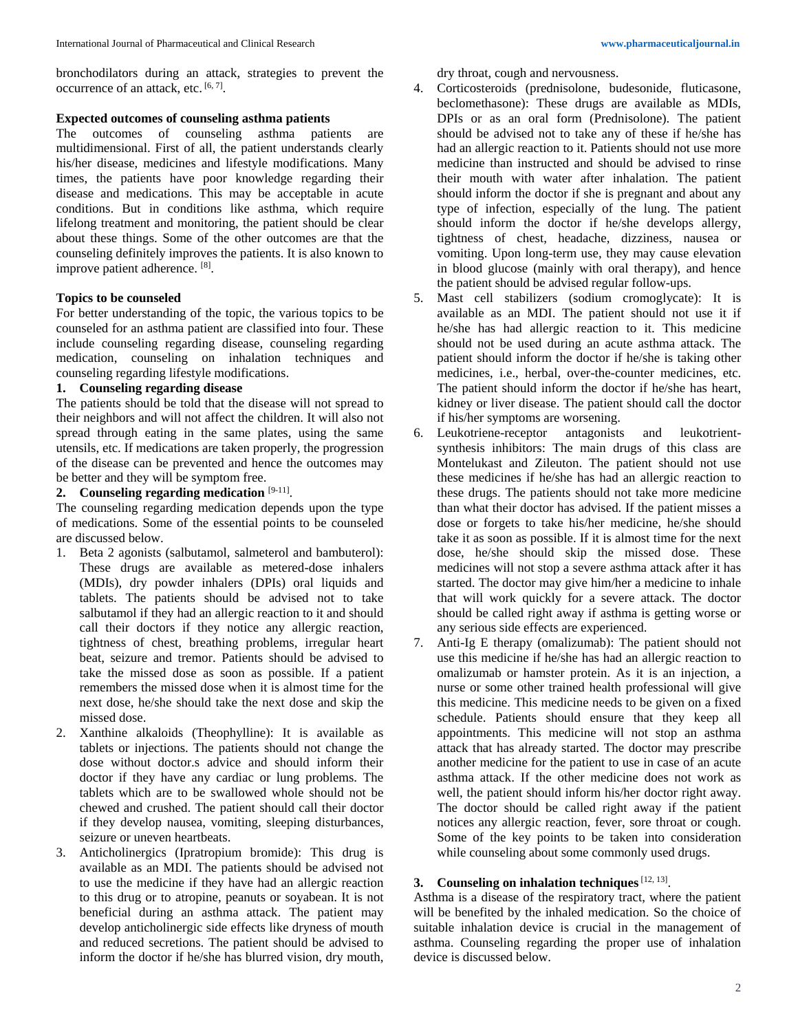## **Expected outcomes of counseling asthma patients**

The outcomes of counseling asthma patients are multidimensional. First of all, the patient understands clearly his/her disease, medicines and lifestyle modifications. Many times, the patients have poor knowledge regarding their disease and medications. This may be acceptable in acute conditions. But in conditions like asthma, which require lifelong treatment and monitoring, the patient should be clear about these things. Some of the other outcomes are that the counseling definitely improves the patients. It is also known to improve patient adherence. [8].

## **Topics to be counseled**

For better understanding of the topic, the various topics to be counseled for an asthma patient are classified into four. These include counseling regarding disease, counseling regarding medication, counseling on inhalation techniques and counseling regarding lifestyle modifications.

## **1. Counseling regarding disease**

The patients should be told that the disease will not spread to their neighbors and will not affect the children. It will also not spread through eating in the same plates, using the same utensils, etc. If medications are taken properly, the progression of the disease can be prevented and hence the outcomes may be better and they will be symptom free.

# **2. Counseling regarding medication** [9-11] .

The counseling regarding medication depends upon the type of medications. Some of the essential points to be counseled are discussed below.

- 1. Beta 2 agonists (salbutamol, salmeterol and bambuterol): These drugs are available as metered-dose inhalers (MDIs), dry powder inhalers (DPIs) oral liquids and tablets. The patients should be advised not to take salbutamol if they had an allergic reaction to it and should call their doctors if they notice any allergic reaction, tightness of chest, breathing problems, irregular heart beat, seizure and tremor. Patients should be advised to take the missed dose as soon as possible. If a patient remembers the missed dose when it is almost time for the next dose, he/she should take the next dose and skip the missed dose.
- 2. Xanthine alkaloids (Theophylline): It is available as tablets or injections. The patients should not change the dose without doctor.s advice and should inform their doctor if they have any cardiac or lung problems. The tablets which are to be swallowed whole should not be chewed and crushed. The patient should call their doctor if they develop nausea, vomiting, sleeping disturbances, seizure or uneven heartbeats.
- 3. Anticholinergics (Ipratropium bromide): This drug is available as an MDI. The patients should be advised not to use the medicine if they have had an allergic reaction to this drug or to atropine, peanuts or soyabean. It is not beneficial during an asthma attack. The patient may develop anticholinergic side effects like dryness of mouth and reduced secretions. The patient should be advised to inform the doctor if he/she has blurred vision, dry mouth,

dry throat, cough and nervousness.

- 4. Corticosteroids (prednisolone, budesonide, fluticasone, beclomethasone): These drugs are available as MDIs, DPIs or as an oral form (Prednisolone). The patient should be advised not to take any of these if he/she has had an allergic reaction to it. Patients should not use more medicine than instructed and should be advised to rinse their mouth with water after inhalation. The patient should inform the doctor if she is pregnant and about any type of infection, especially of the lung. The patient should inform the doctor if he/she develops allergy, tightness of chest, headache, dizziness, nausea or vomiting. Upon long-term use, they may cause elevation in blood glucose (mainly with oral therapy), and hence the patient should be advised regular follow-ups.
- 5. Mast cell stabilizers (sodium cromoglycate): It is available as an MDI. The patient should not use it if he/she has had allergic reaction to it. This medicine should not be used during an acute asthma attack. The patient should inform the doctor if he/she is taking other medicines, i.e., herbal, over-the-counter medicines, etc. The patient should inform the doctor if he/she has heart, kidney or liver disease. The patient should call the doctor if his/her symptoms are worsening.
- 6. Leukotriene-receptor antagonists and leukotrientsynthesis inhibitors: The main drugs of this class are Montelukast and Zileuton. The patient should not use these medicines if he/she has had an allergic reaction to these drugs. The patients should not take more medicine than what their doctor has advised. If the patient misses a dose or forgets to take his/her medicine, he/she should take it as soon as possible. If it is almost time for the next dose, he/she should skip the missed dose. These medicines will not stop a severe asthma attack after it has started. The doctor may give him/her a medicine to inhale that will work quickly for a severe attack. The doctor should be called right away if asthma is getting worse or any serious side effects are experienced.
- 7. Anti-Ig E therapy (omalizumab): The patient should not use this medicine if he/she has had an allergic reaction to omalizumab or hamster protein. As it is an injection, a nurse or some other trained health professional will give this medicine. This medicine needs to be given on a fixed schedule. Patients should ensure that they keep all appointments. This medicine will not stop an asthma attack that has already started. The doctor may prescribe another medicine for the patient to use in case of an acute asthma attack. If the other medicine does not work as well, the patient should inform his/her doctor right away. The doctor should be called right away if the patient notices any allergic reaction, fever, sore throat or cough. Some of the key points to be taken into consideration while counseling about some commonly used drugs.

## **3. Counseling on inhalation techniques**[12, 13] .

Asthma is a disease of the respiratory tract, where the patient will be benefited by the inhaled medication. So the choice of suitable inhalation device is crucial in the management of asthma. Counseling regarding the proper use of inhalation device is discussed below.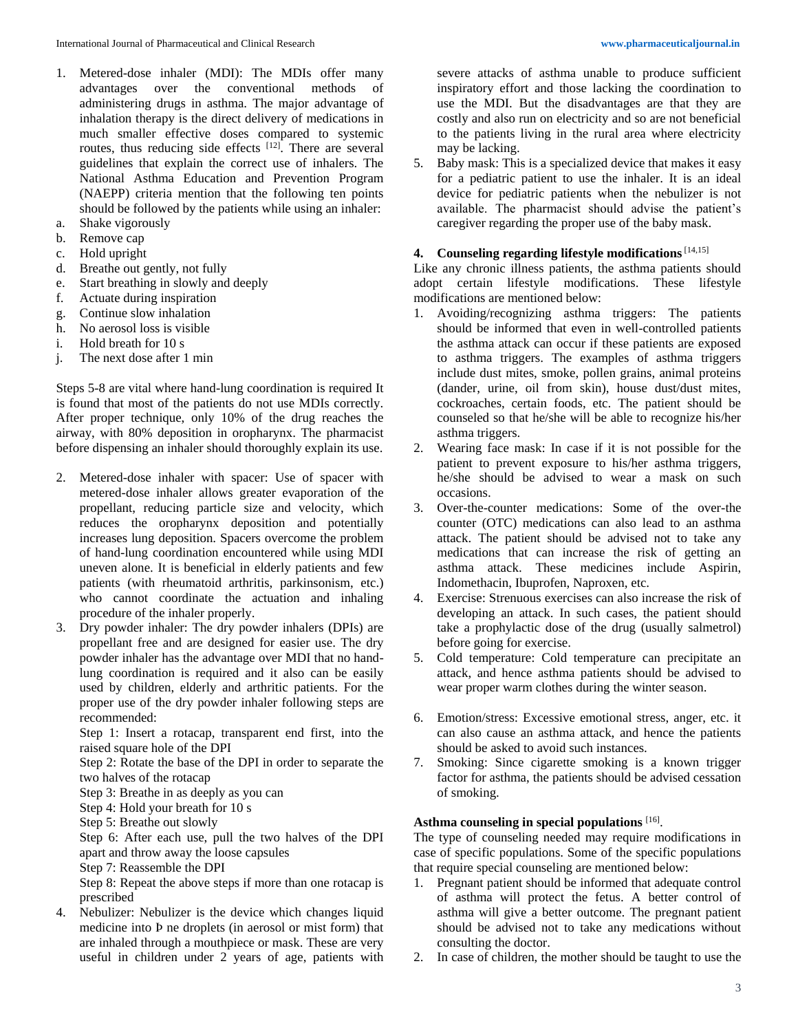- 1. Metered-dose inhaler (MDI): The MDIs offer many advantages over the conventional methods of administering drugs in asthma. The major advantage of inhalation therapy is the direct delivery of medications in much smaller effective doses compared to systemic routes, thus reducing side effects [12]. There are several guidelines that explain the correct use of inhalers. The National Asthma Education and Prevention Program (NAEPP) criteria mention that the following ten points should be followed by the patients while using an inhaler:
- a. Shake vigorously
- b. Remove cap
- c. Hold upright
- d. Breathe out gently, not fully
- e. Start breathing in slowly and deeply
- f. Actuate during inspiration
- g. Continue slow inhalation
- h. No aerosol loss is visible
- i. Hold breath for 10 s
- j. The next dose after 1 min

Steps 5-8 are vital where hand-lung coordination is required It is found that most of the patients do not use MDIs correctly. After proper technique, only 10% of the drug reaches the airway, with 80% deposition in oropharynx. The pharmacist before dispensing an inhaler should thoroughly explain its use.

- 2. Metered-dose inhaler with spacer: Use of spacer with metered-dose inhaler allows greater evaporation of the propellant, reducing particle size and velocity, which reduces the oropharynx deposition and potentially increases lung deposition. Spacers overcome the problem of hand-lung coordination encountered while using MDI uneven alone. It is beneficial in elderly patients and few patients (with rheumatoid arthritis, parkinsonism, etc.) who cannot coordinate the actuation and inhaling procedure of the inhaler properly.
- 3. Dry powder inhaler: The dry powder inhalers (DPIs) are propellant free and are designed for easier use. The dry powder inhaler has the advantage over MDI that no handlung coordination is required and it also can be easily used by children, elderly and arthritic patients. For the proper use of the dry powder inhaler following steps are recommended:

Step 1: Insert a rotacap, transparent end first, into the raised square hole of the DPI

Step 2: Rotate the base of the DPI in order to separate the two halves of the rotacap

Step 3: Breathe in as deeply as you can

- Step 4: Hold your breath for 10 s
- Step 5: Breathe out slowly

Step 6: After each use, pull the two halves of the DPI apart and throw away the loose capsules

Step 7: Reassemble the DPI

Step 8: Repeat the above steps if more than one rotacap is prescribed

4. Nebulizer: Nebulizer is the device which changes liquid medicine into Þ ne droplets (in aerosol or mist form) that are inhaled through a mouthpiece or mask. These are very useful in children under 2 years of age, patients with

severe attacks of asthma unable to produce sufficient inspiratory effort and those lacking the coordination to use the MDI. But the disadvantages are that they are costly and also run on electricity and so are not beneficial to the patients living in the rural area where electricity may be lacking.

5. Baby mask: This is a specialized device that makes it easy for a pediatric patient to use the inhaler. It is an ideal device for pediatric patients when the nebulizer is not available. The pharmacist should advise the patient's caregiver regarding the proper use of the baby mask.

# **4. Counseling regarding lifestyle modifications**[14,15]

Like any chronic illness patients, the asthma patients should adopt certain lifestyle modifications. These lifestyle modifications are mentioned below:

- 1. Avoiding/recognizing asthma triggers: The patients should be informed that even in well-controlled patients the asthma attack can occur if these patients are exposed to asthma triggers. The examples of asthma triggers include dust mites, smoke, pollen grains, animal proteins (dander, urine, oil from skin), house dust/dust mites, cockroaches, certain foods, etc. The patient should be counseled so that he/she will be able to recognize his/her asthma triggers.
- 2. Wearing face mask: In case if it is not possible for the patient to prevent exposure to his/her asthma triggers, he/she should be advised to wear a mask on such occasions.
- 3. Over-the-counter medications: Some of the over-the counter (OTC) medications can also lead to an asthma attack. The patient should be advised not to take any medications that can increase the risk of getting an asthma attack. These medicines include Aspirin, Indomethacin, Ibuprofen, Naproxen, etc.
- 4. Exercise: Strenuous exercises can also increase the risk of developing an attack. In such cases, the patient should take a prophylactic dose of the drug (usually salmetrol) before going for exercise.
- 5. Cold temperature: Cold temperature can precipitate an attack, and hence asthma patients should be advised to wear proper warm clothes during the winter season.
- 6. Emotion/stress: Excessive emotional stress, anger, etc. it can also cause an asthma attack, and hence the patients should be asked to avoid such instances.
- 7. Smoking: Since cigarette smoking is a known trigger factor for asthma, the patients should be advised cessation of smoking.

### **Asthma counseling in special populations** [16] .

The type of counseling needed may require modifications in case of specific populations. Some of the specific populations that require special counseling are mentioned below:

- 1. Pregnant patient should be informed that adequate control of asthma will protect the fetus. A better control of asthma will give a better outcome. The pregnant patient should be advised not to take any medications without consulting the doctor.
- 2. In case of children, the mother should be taught to use the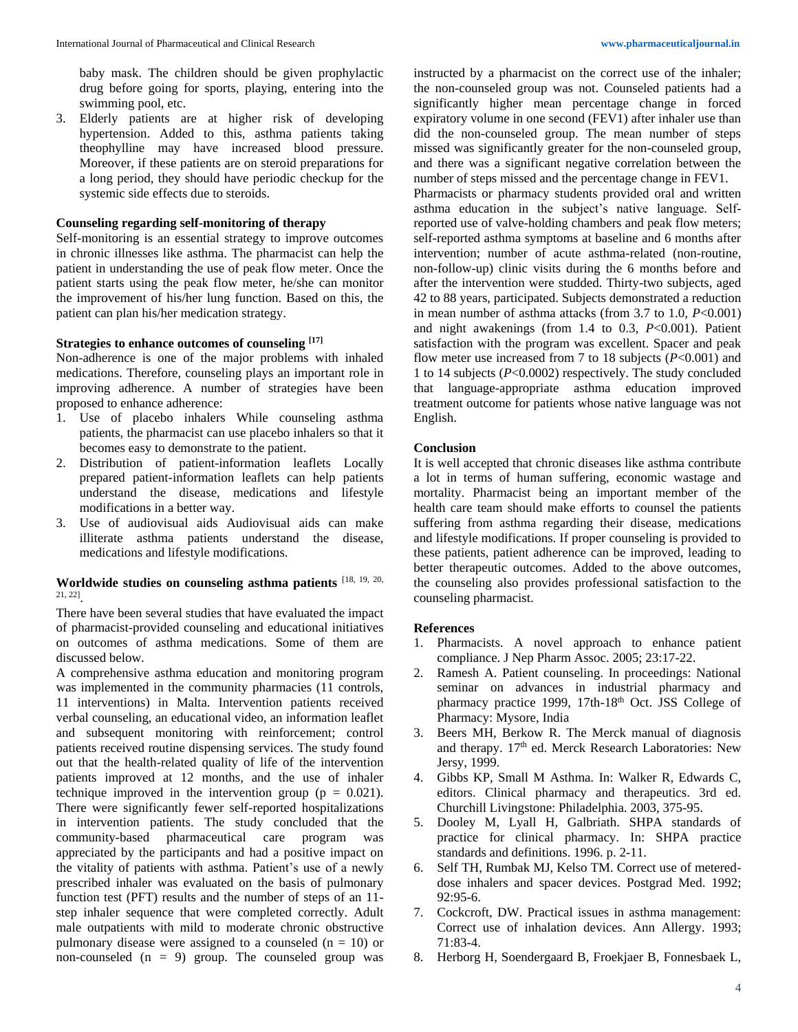baby mask. The children should be given prophylactic drug before going for sports, playing, entering into the swimming pool, etc.

3. Elderly patients are at higher risk of developing hypertension. Added to this, asthma patients taking theophylline may have increased blood pressure. Moreover, if these patients are on steroid preparations for a long period, they should have periodic checkup for the systemic side effects due to steroids.

#### **Counseling regarding self-monitoring of therapy**

Self-monitoring is an essential strategy to improve outcomes in chronic illnesses like asthma. The pharmacist can help the patient in understanding the use of peak flow meter. Once the patient starts using the peak flow meter, he/she can monitor the improvement of his/her lung function. Based on this, the patient can plan his/her medication strategy.

## **Strategies to enhance outcomes of counseling [17]**

Non-adherence is one of the major problems with inhaled medications. Therefore, counseling plays an important role in improving adherence. A number of strategies have been proposed to enhance adherence:

- 1. Use of placebo inhalers While counseling asthma patients, the pharmacist can use placebo inhalers so that it becomes easy to demonstrate to the patient.
- 2. Distribution of patient-information leaflets Locally prepared patient-information leaflets can help patients understand the disease, medications and lifestyle modifications in a better way.
- 3. Use of audiovisual aids Audiovisual aids can make illiterate asthma patients understand the disease, medications and lifestyle modifications.

## **Worldwide studies on counseling asthma patients** [18, 19, 20, 21, 22] .

There have been several studies that have evaluated the impact of pharmacist-provided counseling and educational initiatives on outcomes of asthma medications. Some of them are discussed below.

A comprehensive asthma education and monitoring program was implemented in the community pharmacies (11 controls, 11 interventions) in Malta. Intervention patients received verbal counseling, an educational video, an information leaflet and subsequent monitoring with reinforcement; control patients received routine dispensing services. The study found out that the health-related quality of life of the intervention patients improved at 12 months, and the use of inhaler technique improved in the intervention group ( $p = 0.021$ ). There were significantly fewer self-reported hospitalizations in intervention patients. The study concluded that the community-based pharmaceutical care program was appreciated by the participants and had a positive impact on the vitality of patients with asthma. Patient's use of a newly prescribed inhaler was evaluated on the basis of pulmonary function test (PFT) results and the number of steps of an 11 step inhaler sequence that were completed correctly. Adult male outpatients with mild to moderate chronic obstructive pulmonary disease were assigned to a counseled  $(n = 10)$  or non-counseled  $(n = 9)$  group. The counseled group was

instructed by a pharmacist on the correct use of the inhaler; the non-counseled group was not. Counseled patients had a significantly higher mean percentage change in forced expiratory volume in one second (FEV1) after inhaler use than did the non-counseled group. The mean number of steps missed was significantly greater for the non-counseled group, and there was a significant negative correlation between the number of steps missed and the percentage change in FEV1.

Pharmacists or pharmacy students provided oral and written asthma education in the subject's native language. Selfreported use of valve-holding chambers and peak flow meters; self-reported asthma symptoms at baseline and 6 months after intervention; number of acute asthma-related (non-routine, non-follow-up) clinic visits during the 6 months before and after the intervention were studded. Thirty-two subjects, aged 42 to 88 years, participated. Subjects demonstrated a reduction in mean number of asthma attacks (from  $3.7$  to  $1.0$ ,  $P<0.001$ ) and night awakenings (from 1.4 to 0.3, *P*<0.001). Patient satisfaction with the program was excellent. Spacer and peak flow meter use increased from 7 to 18 subjects (*P*<0.001) and 1 to 14 subjects (*P*<0.0002) respectively. The study concluded that language-appropriate asthma education improved treatment outcome for patients whose native language was not English.

#### **Conclusion**

It is well accepted that chronic diseases like asthma contribute a lot in terms of human suffering, economic wastage and mortality. Pharmacist being an important member of the health care team should make efforts to counsel the patients suffering from asthma regarding their disease, medications and lifestyle modifications. If proper counseling is provided to these patients, patient adherence can be improved, leading to better therapeutic outcomes. Added to the above outcomes, the counseling also provides professional satisfaction to the counseling pharmacist.

#### **References**

- 1. Pharmacists. A novel approach to enhance patient compliance. J Nep Pharm Assoc. 2005; 23:17-22.
- 2. Ramesh A. Patient counseling. In proceedings: National seminar on advances in industrial pharmacy and pharmacy practice 1999, 17th-18<sup>th</sup> Oct. JSS College of Pharmacy: Mysore, India
- 3. Beers MH, Berkow R. The Merck manual of diagnosis and therapy. 17<sup>th</sup> ed. Merck Research Laboratories: New Jersy, 1999.
- 4. Gibbs KP, Small M Asthma. In: Walker R, Edwards C, editors. Clinical pharmacy and therapeutics. 3rd ed. Churchill Livingstone: Philadelphia. 2003, 375-95.
- 5. Dooley M, Lyall H, Galbriath. SHPA standards of practice for clinical pharmacy. In: SHPA practice standards and definitions. 1996. p. 2-11.
- 6. Self TH, Rumbak MJ, Kelso TM. Correct use of metereddose inhalers and spacer devices. Postgrad Med. 1992; 92:95-6.
- 7. Cockcroft, DW. Practical issues in asthma management: Correct use of inhalation devices. Ann Allergy. 1993; 71:83-4.
- 8. Herborg H, Soendergaard B, Froekjaer B, Fonnesbaek L,